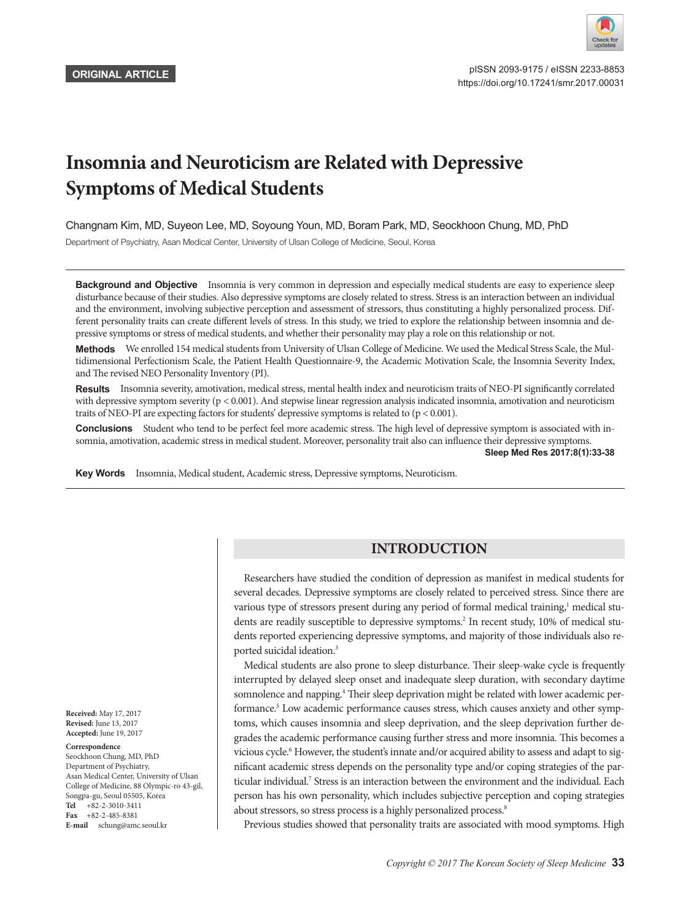

# **Insomnia and Neuroticism are Related with Depressive Symptoms of Medical Students**

Changnam Kim, MD, Suyeon Lee, MD, Soyoung Youn, MD, Boram Park, MD, Seockhoon Chung, MD, PhD

Department of Psychiatry, Asan Medical Center, University of Ulsan College of Medicine, Seoul, Korea

**Background and Objective** Insomnia is very common in depression and especially medical students are easy to experience sleep disturbance because of their studies. Also depressive symptoms are closely related to stress. Stress is an interaction between an individual and the environment, involving subjective perception and assessment of stressors, thus constituting a highly personalized process. Different personality traits can create different levels of stress. In this study, we tried to explore the relationship between insomnia and depressive symptoms or stress of medical students, and whether their personality may play a role on this relationship or not.

Methods We enrolled 154 medical students from University of Ulsan College of Medicine. We used the Medical Stress Scale, the Multidimensional Perfectionism Scale, the Patient Health Questionnaire-9, the Academic Motivation Scale, the Insomnia Severity Index, and The revised NEO Personality Inventory (PI).

**Results** Insomnia severity, amotivation, medical stress, mental health index and neuroticism traits of NEO-PI significantly correlated with depressive symptom severity  $(p < 0.001)$ . And stepwise linear regression analysis indicated insomnia, amotivation and neuroticism traits of NEO-PI are expecting factors for students' depressive symptoms is related to  $(p < 0.001)$ .

**Conclusions** Student who tend to be perfect feel more academic stress. The high level of depressive symptom is associated with insomnia, amotivation, academic stress in medical student. Moreover, personality trait also can influence their depressive symptoms.

**Sleep Med Res 2017;8(1):33-38**

**Key Words** Insomnia, Medical student, Academic stress, Depressive symptoms, Neuroticism.

## **INTRODUCTION**

Researchers have studied the condition of depression as manifest in medical students for several decades. Depressive symptoms are closely related to perceived stress. Since there are various type of stressors present during any period of formal medical training,<sup>1</sup> medical students are readily susceptible to depressive symptoms.<sup>2</sup> In recent study, 10% of medical students reported experiencing depressive symptoms, and majority of those individuals also reported suicidal ideation.<sup>3</sup>

Medical students are also prone to sleep disturbance. Their sleep-wake cycle is frequently interrupted by delayed sleep onset and inadequate sleep duration, with secondary daytime somnolence and napping.<sup>4</sup> Their sleep deprivation might be related with lower academic performance.<sup>5</sup> Low academic performance causes stress, which causes anxiety and other symptoms, which causes insomnia and sleep deprivation, and the sleep deprivation further degrades the academic performance causing further stress and more insomnia. This becomes a vicious cycle.<sup>6</sup> However, the student's innate and/or acquired ability to assess and adapt to significant academic stress depends on the personality type and/or coping strategies of the particular individual.<sup>7</sup> Stress is an interaction between the environment and the individual. Each person has his own personality, which includes subjective perception and coping strategies about stressors, so stress process is a highly personalized process.<sup>8</sup>

Previous studies showed that personality traits are associated with mood symptoms. High

**Received:** May 17, 2017 **Revised:** June 13, 2017 **Accepted:** June 19, 2017

#### **Correspondence**

Seockhoon Chung, MD, PhD Department of Psychiatry, Asan Medical Center, University of Ulsan College of Medicine, 88 Olympic-ro 43-gil, Songpa-gu, Seoul 05505, Korea **Tel** +82-2-3010-3411 **Fax** +82-2-485-8381 **E-mail** schung@amc.seoul.kr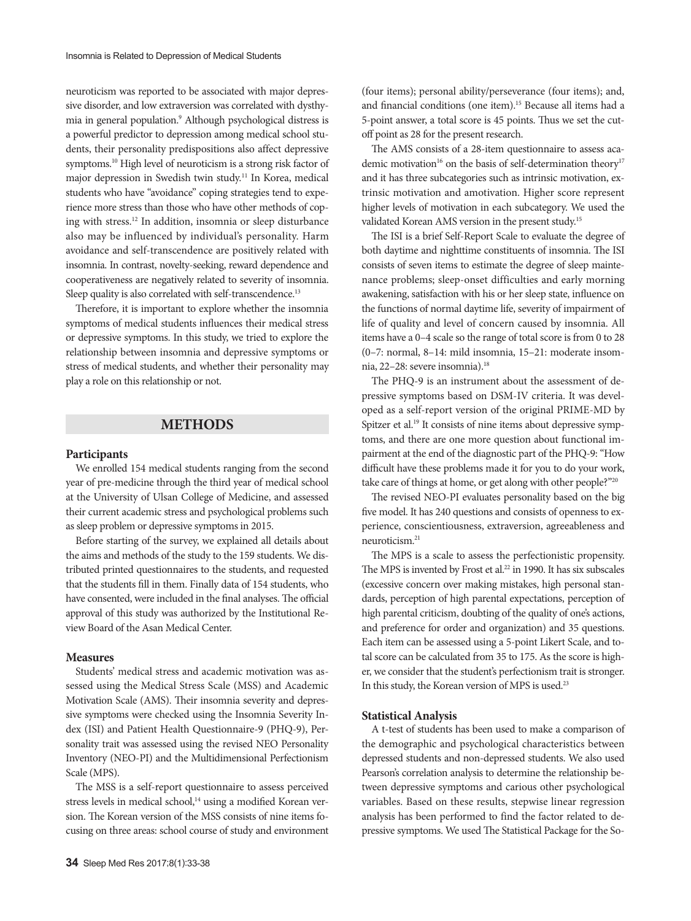neuroticism was reported to be associated with major depressive disorder, and low extraversion was correlated with dysthymia in general population.9 Although psychological distress is a powerful predictor to depression among medical school students, their personality predispositions also affect depressive symptoms.10 High level of neuroticism is a strong risk factor of major depression in Swedish twin study.11 In Korea, medical students who have "avoidance" coping strategies tend to experience more stress than those who have other methods of coping with stress.12 In addition, insomnia or sleep disturbance also may be influenced by individual's personality. Harm avoidance and self-transcendence are positively related with insomnia. In contrast, novelty-seeking, reward dependence and cooperativeness are negatively related to severity of insomnia. Sleep quality is also correlated with self-transcendence.<sup>13</sup>

Therefore, it is important to explore whether the insomnia symptoms of medical students influences their medical stress or depressive symptoms. In this study, we tried to explore the relationship between insomnia and depressive symptoms or stress of medical students, and whether their personality may play a role on this relationship or not.

## **METHODS**

#### **Participants**

We enrolled 154 medical students ranging from the second year of pre-medicine through the third year of medical school at the University of Ulsan College of Medicine, and assessed their current academic stress and psychological problems such as sleep problem or depressive symptoms in 2015.

Before starting of the survey, we explained all details about the aims and methods of the study to the 159 students. We distributed printed questionnaires to the students, and requested that the students fill in them. Finally data of 154 students, who have consented, were included in the final analyses. The official approval of this study was authorized by the Institutional Review Board of the Asan Medical Center.

#### **Measures**

Students' medical stress and academic motivation was assessed using the Medical Stress Scale (MSS) and Academic Motivation Scale (AMS). Their insomnia severity and depressive symptoms were checked using the Insomnia Severity Index (ISI) and Patient Health Questionnaire-9 (PHQ-9), Personality trait was assessed using the revised NEO Personality Inventory (NEO-PI) and the Multidimensional Perfectionism Scale (MPS).

The MSS is a self-report questionnaire to assess perceived stress levels in medical school,<sup>14</sup> using a modified Korean version. The Korean version of the MSS consists of nine items focusing on three areas: school course of study and environment (four items); personal ability/perseverance (four items); and, and financial conditions (one item).15 Because all items had a 5-point answer, a total score is 45 points. Thus we set the cutoff point as 28 for the present research.

The AMS consists of a 28-item questionnaire to assess academic motivation<sup>16</sup> on the basis of self-determination theory<sup>17</sup> and it has three subcategories such as intrinsic motivation, extrinsic motivation and amotivation. Higher score represent higher levels of motivation in each subcategory. We used the validated Korean AMS version in the present study.15

The ISI is a brief Self-Report Scale to evaluate the degree of both daytime and nighttime constituents of insomnia. The ISI consists of seven items to estimate the degree of sleep maintenance problems; sleep-onset difficulties and early morning awakening, satisfaction with his or her sleep state, influence on the functions of normal daytime life, severity of impairment of life of quality and level of concern caused by insomnia. All items have a 0–4 scale so the range of total score is from 0 to 28 (0–7: normal, 8–14: mild insomnia, 15–21: moderate insomnia, 22-28: severe insomnia).<sup>18</sup>

The PHQ-9 is an instrument about the assessment of depressive symptoms based on DSM-IV criteria. It was developed as a self-report version of the original PRIME-MD by Spitzer et al.<sup>19</sup> It consists of nine items about depressive symptoms, and there are one more question about functional impairment at the end of the diagnostic part of the PHQ-9: "How difficult have these problems made it for you to do your work, take care of things at home, or get along with other people?"20

The revised NEO-PI evaluates personality based on the big five model. It has 240 questions and consists of openness to experience, conscientiousness, extraversion, agreeableness and neuroticism.21

The MPS is a scale to assess the perfectionistic propensity. The MPS is invented by Frost et al.<sup>22</sup> in 1990. It has six subscales (excessive concern over making mistakes, high personal standards, perception of high parental expectations, perception of high parental criticism, doubting of the quality of one's actions, and preference for order and organization) and 35 questions. Each item can be assessed using a 5-point Likert Scale, and total score can be calculated from 35 to 175. As the score is higher, we consider that the student's perfectionism trait is stronger. In this study, the Korean version of MPS is used.<sup>23</sup>

### **Statistical Analysis**

A t-test of students has been used to make a comparison of the demographic and psychological characteristics between depressed students and non-depressed students. We also used Pearson's correlation analysis to determine the relationship between depressive symptoms and carious other psychological variables. Based on these results, stepwise linear regression analysis has been performed to find the factor related to depressive symptoms. We used The Statistical Package for the So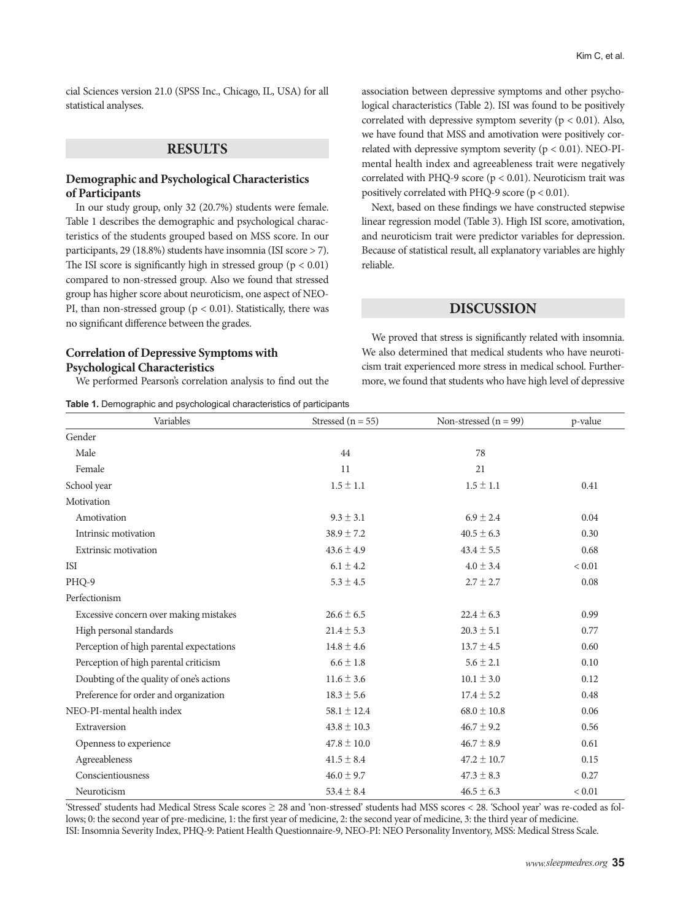cial Sciences version 21.0 (SPSS Inc., Chicago, IL, USA) for all statistical analyses.

## **RESULTS**

## **Demographic and Psychological Characteristics of Participants**

In our study group, only 32 (20.7%) students were female. Table 1 describes the demographic and psychological characteristics of the students grouped based on MSS score. In our participants, 29 (18.8%) students have insomnia (ISI score > 7). The ISI score is significantly high in stressed group ( $p < 0.01$ ) compared to non-stressed group. Also we found that stressed group has higher score about neuroticism, one aspect of NEO-PI, than non-stressed group ( $p < 0.01$ ). Statistically, there was no significant difference between the grades.

## **Correlation of Depressive Symptoms with Psychological Characteristics**

We performed Pearson's correlation analysis to find out the

**Table 1.** Demographic and psychological characteristics of participants

association between depressive symptoms and other psychological characteristics (Table 2). ISI was found to be positively correlated with depressive symptom severity ( $p < 0.01$ ). Also, we have found that MSS and amotivation were positively correlated with depressive symptom severity  $(p < 0.01)$ . NEO-PImental health index and agreeableness trait were negatively correlated with PHQ-9 score ( $p < 0.01$ ). Neuroticism trait was positively correlated with PHQ-9 score  $(p < 0.01)$ .

Next, based on these findings we have constructed stepwise linear regression model (Table 3). High ISI score, amotivation, and neuroticism trait were predictor variables for depression. Because of statistical result, all explanatory variables are highly reliable.

## **DISCUSSION**

We proved that stress is significantly related with insomnia. We also determined that medical students who have neuroticism trait experienced more stress in medical school. Furthermore, we found that students who have high level of depressive

| Variables                                | Stressed ( $n = 55$ ) | Non-stressed $(n = 99)$ | p-value |
|------------------------------------------|-----------------------|-------------------------|---------|
| Gender                                   |                       |                         |         |
| Male                                     | 44                    | 78                      |         |
| Female                                   | 11                    | 21                      |         |
| School year                              | $1.5 \pm 1.1$         | $1.5 \pm 1.1$           | 0.41    |
| Motivation                               |                       |                         |         |
| Amotivation                              | $9.3 \pm 3.1$         | $6.9 \pm 2.4$           | 0.04    |
| Intrinsic motivation                     | $38.9 \pm 7.2$        | $40.5 \pm 6.3$          | 0.30    |
| Extrinsic motivation                     | $43.6 \pm 4.9$        | $43.4 \pm 5.5$          | 0.68    |
| <b>ISI</b>                               | $6.1 \pm 4.2$         | $4.0 \pm 3.4$           | < 0.01  |
| PHQ-9                                    | $5.3 \pm 4.5$         | $2.7 \pm 2.7$           | 0.08    |
| Perfectionism                            |                       |                         |         |
| Excessive concern over making mistakes   | $26.6 \pm 6.5$        | $22.4 \pm 6.3$          | 0.99    |
| High personal standards                  | $21.4 \pm 5.3$        | $20.3 \pm 5.1$          | 0.77    |
| Perception of high parental expectations | $14.8 \pm 4.6$        | $13.7 \pm 4.5$          | 0.60    |
| Perception of high parental criticism    | $6.6 \pm 1.8$         | $5.6 \pm 2.1$           | 0.10    |
| Doubting of the quality of one's actions | $11.6 \pm 3.6$        | $10.1 \pm 3.0$          | 0.12    |
| Preference for order and organization    | $18.3 \pm 5.6$        | $17.4 \pm 5.2$          | 0.48    |
| NEO-PI-mental health index               | $58.1 \pm 12.4$       | $68.0 \pm 10.8$         | 0.06    |
| Extraversion                             | $43.8 \pm 10.3$       | $46.7 \pm 9.2$          | 0.56    |
| Openness to experience                   | $47.8 \pm 10.0$       | $46.7 \pm 8.9$          | 0.61    |
| Agreeableness                            | $41.5 \pm 8.4$        | $47.2 \pm 10.7$         | 0.15    |
| Conscientiousness                        | $46.0 \pm 9.7$        | $47.3 \pm 8.3$          | 0.27    |
| Neuroticism                              | $53.4 \pm 8.4$        | $46.5 \pm 6.3$          | < 0.01  |

'Stressed' students had Medical Stress Scale scores ≥ 28 and 'non-stressed' students had MSS scores < 28. 'School year' was re-coded as follows; 0: the second year of pre-medicine, 1: the first year of medicine, 2: the second year of medicine, 3: the third year of medicine. ISI: Insomnia Severity Index, PHQ-9: Patient Health Questionnaire-9, NEO-PI: NEO Personality Inventory, MSS: Medical Stress Scale.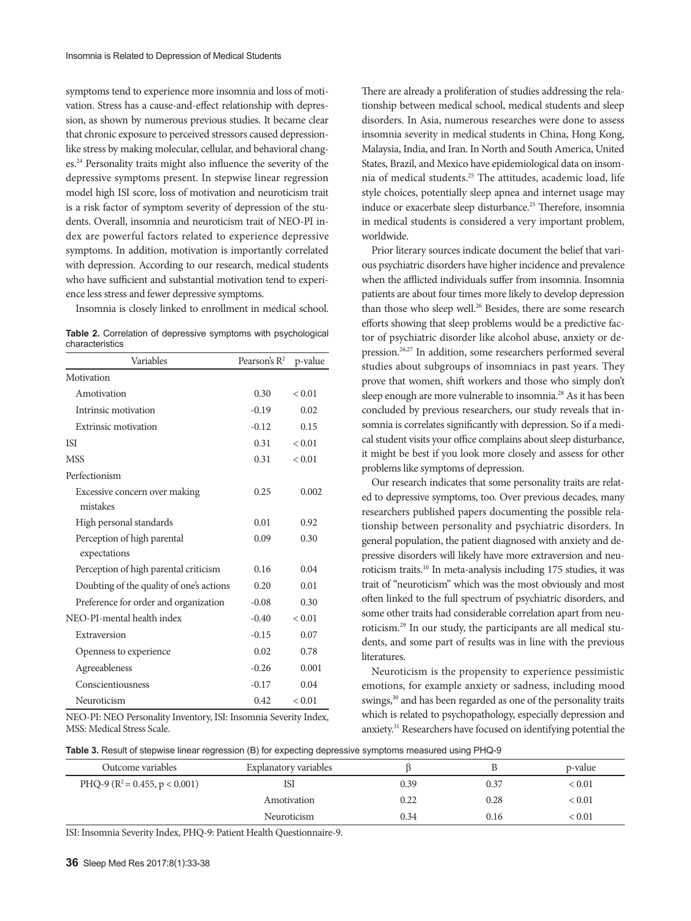symptoms tend to experience more insomnia and loss of motivation. Stress has a cause-and-effect relationship with depression, as shown by numerous previous studies. It became clear that chronic exposure to perceived stressors caused depressionlike stress by making molecular, cellular, and behavioral changes.24 Personality traits might also influence the severity of the depressive symptoms present. In stepwise linear regression model high ISI score, loss of motivation and neuroticism trait is a risk factor of symptom severity of depression of the students. Overall, insomnia and neuroticism trait of NEO-PI index are powerful factors related to experience depressive symptoms. In addition, motivation is importantly correlated with depression. According to our research, medical students who have sufficient and substantial motivation tend to experience less stress and fewer depressive symptoms.

Insomnia is closely linked to enrollment in medical school.

**Table 2.** Correlation of depressive symptoms with psychological characteristics

| Variables                                   | Pearson's $R^2$ | p-value |
|---------------------------------------------|-----------------|---------|
| Motivation                                  |                 |         |
| Amotivation                                 | 0.30            | < 0.01  |
| Intrinsic motivation                        | $-0.19$         | 0.02    |
| Extrinsic motivation                        | $-0.12$         | 0.15    |
| <b>ISI</b>                                  | 0.31            | < 0.01  |
| <b>MSS</b>                                  | 0.31            | < 0.01  |
| Perfectionism                               |                 |         |
| Excessive concern over making<br>mistakes   | 0.25            | 0.002   |
| High personal standards                     | 0.01            | 0.92    |
| Perception of high parental<br>expectations | 0.09            | 0.30    |
| Perception of high parental criticism       | 0.16            | 0.04    |
| Doubting of the quality of one's actions    | 0.20            | 0.01    |
| Preference for order and organization       | $-0.08$         | 0.30    |
| NEO-PL-mental health index                  | $-0.40$         | < 0.01  |
| Extraversion                                | $-0.15$         | 0.07    |
| Openness to experience                      | 0.02            | 0.78    |
| Agreeableness                               | $-0.26$         | 0.001   |
| Conscientiousness                           | $-0.17$         | 0.04    |
| Neuroticism                                 | 0.42            | < 0.01  |

NEO-PI: NEO Personality Inventory, ISI: Insomnia Severity Index, MSS: Medical Stress Scale.

There are already a proliferation of studies addressing the relationship between medical school, medical students and sleep disorders. In Asia, numerous researches were done to assess insomnia severity in medical students in China, Hong Kong, Malaysia, India, and Iran. In North and South America, United States, Brazil, and Mexico have epidemiological data on insomnia of medical students.25 The attitudes, academic load, life style choices, potentially sleep apnea and internet usage may induce or exacerbate sleep disturbance.<sup>25</sup> Therefore, insomnia in medical students is considered a very important problem, worldwide.

Prior literary sources indicate document the belief that various psychiatric disorders have higher incidence and prevalence when the afflicted individuals suffer from insomnia. Insomnia patients are about four times more likely to develop depression than those who sleep well.<sup>26</sup> Besides, there are some research efforts showing that sleep problems would be a predictive factor of psychiatric disorder like alcohol abuse, anxiety or depression.26,27 In addition, some researchers performed several studies about subgroups of insomniacs in past years. They prove that women, shift workers and those who simply don't sleep enough are more vulnerable to insomnia.<sup>28</sup> As it has been concluded by previous researchers, our study reveals that insomnia is correlates significantly with depression. So if a medical student visits your office complains about sleep disturbance, it might be best if you look more closely and assess for other problems like symptoms of depression.

Our research indicates that some personality traits are related to depressive symptoms, too. Over previous decades, many researchers published papers documenting the possible relationship between personality and psychiatric disorders. In general population, the patient diagnosed with anxiety and depressive disorders will likely have more extraversion and neuroticism traits.10 In meta-analysis including 175 studies, it was trait of "neuroticism" which was the most obviously and most often linked to the full spectrum of psychiatric disorders, and some other traits had considerable correlation apart from neuroticism.29 In our study, the participants are all medical students, and some part of results was in line with the previous literatures.

Neuroticism is the propensity to experience pessimistic emotions, for example anxiety or sadness, including mood swings,<sup>30</sup> and has been regarded as one of the personality traits which is related to psychopathology, especially depression and anxiety.31 Researchers have focused on identifying potential the

| Table 3. Result of stepwise linear regression (B) for expecting depressive symptoms measured using PHQ-9 |  |  |  |  |
|----------------------------------------------------------------------------------------------------------|--|--|--|--|
|----------------------------------------------------------------------------------------------------------|--|--|--|--|

| Outcome variables                 | Explanatory variables |      |      | p-value    |
|-----------------------------------|-----------------------|------|------|------------|
| PHQ-9 ( $R^2$ = 0.455, p < 0.001) | ISI                   | 0.39 | 0.37 | ${}< 0.01$ |
|                                   | Amotivation           | 0.22 | 0.28 | ${}< 0.01$ |
|                                   | Neuroticism           | 0.34 | 0.16 | ${}< 0.01$ |

ISI: Insomnia Severity Index, PHQ-9: Patient Health Questionnaire-9.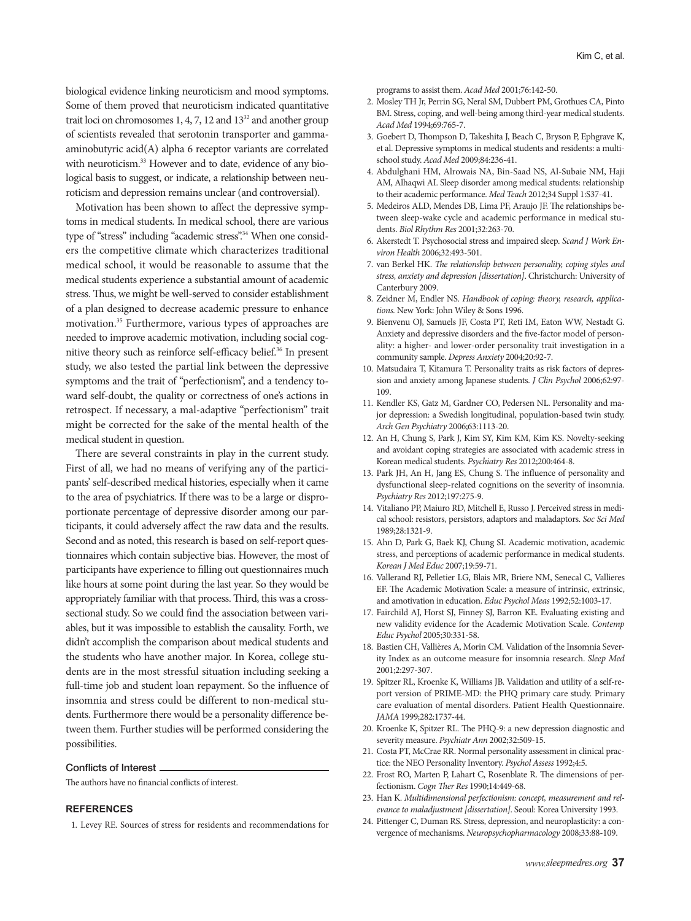biological evidence linking neuroticism and mood symptoms. Some of them proved that neuroticism indicated quantitative trait loci on chromosomes  $1, 4, 7, 12$  and  $13<sup>32</sup>$  and another group of scientists revealed that serotonin transporter and gammaaminobutyric acid(A) alpha 6 receptor variants are correlated with neuroticism.<sup>33</sup> However and to date, evidence of any biological basis to suggest, or indicate, a relationship between neuroticism and depression remains unclear (and controversial).

Motivation has been shown to affect the depressive symptoms in medical students. In medical school, there are various type of "stress" including "academic stress".<sup>34</sup> When one considers the competitive climate which characterizes traditional medical school, it would be reasonable to assume that the medical students experience a substantial amount of academic stress. Thus, we might be well-served to consider establishment of a plan designed to decrease academic pressure to enhance motivation.35 Furthermore, various types of approaches are needed to improve academic motivation, including social cognitive theory such as reinforce self-efficacy belief.<sup>36</sup> In present study, we also tested the partial link between the depressive symptoms and the trait of "perfectionism", and a tendency toward self-doubt, the quality or correctness of one's actions in retrospect. If necessary, a mal-adaptive "perfectionism" trait might be corrected for the sake of the mental health of the medical student in question.

There are several constraints in play in the current study. First of all, we had no means of verifying any of the participants' self-described medical histories, especially when it came to the area of psychiatrics. If there was to be a large or disproportionate percentage of depressive disorder among our participants, it could adversely affect the raw data and the results. Second and as noted, this research is based on self-report questionnaires which contain subjective bias. However, the most of participants have experience to filling out questionnaires much like hours at some point during the last year. So they would be appropriately familiar with that process. Third, this was a crosssectional study. So we could find the association between variables, but it was impossible to establish the causality. Forth, we didn't accomplish the comparison about medical students and the students who have another major. In Korea, college students are in the most stressful situation including seeking a full-time job and student loan repayment. So the influence of insomnia and stress could be different to non-medical students. Furthermore there would be a personality difference between them. Further studies will be performed considering the possibilities.

#### Conflicts of Interest

The authors have no financial conflicts of interest.

### **REFERENCES**

1. Levey RE. Sources of stress for residents and recommendations for

programs to assist them. *Acad Med* 2001;76:142-50.

- 2. Mosley TH Jr, Perrin SG, Neral SM, Dubbert PM, Grothues CA, Pinto BM. Stress, coping, and well-being among third-year medical students. *Acad Med* 1994;69:765-7.
- 3. Goebert D, Thompson D, Takeshita J, Beach C, Bryson P, Ephgrave K, et al. Depressive symptoms in medical students and residents: a multischool study. *Acad Med* 2009;84:236-41.
- 4. Abdulghani HM, Alrowais NA, Bin-Saad NS, Al-Subaie NM, Haji AM, Alhaqwi AI. Sleep disorder among medical students: relationship to their academic performance. *Med Teach* 2012;34 Suppl 1:S37-41.
- 5. Medeiros ALD, Mendes DB, Lima PF, Araujo JF. The relationships between sleep-wake cycle and academic performance in medical students. *Biol Rhythm Res* 2001;32:263-70.
- 6. Akerstedt T. Psychosocial stress and impaired sleep. *Scand J Work Environ Health* 2006;32:493-501.
- 7. van Berkel HK. *The relationship between personality, coping styles and stress, anxiety and depression [dissertation]*. Christchurch: University of Canterbury 2009.
- 8. Zeidner M, Endler NS. *Handbook of coping: theory, research, applications.* New York: John Wiley & Sons 1996.
- 9. Bienvenu OJ, Samuels JF, Costa PT, Reti IM, Eaton WW, Nestadt G. Anxiety and depressive disorders and the five-factor model of personality: a higher- and lower-order personality trait investigation in a community sample. *Depress Anxiety* 2004;20:92-7.
- 10. Matsudaira T, Kitamura T. Personality traits as risk factors of depression and anxiety among Japanese students. *J Clin Psychol* 2006;62:97- 109.
- 11. Kendler KS, Gatz M, Gardner CO, Pedersen NL. Personality and major depression: a Swedish longitudinal, population-based twin study. *Arch Gen Psychiatry* 2006;63:1113-20.
- 12. An H, Chung S, Park J, Kim SY, Kim KM, Kim KS. Novelty-seeking and avoidant coping strategies are associated with academic stress in Korean medical students. *Psychiatry Res* 2012;200:464-8.
- 13. Park JH, An H, Jang ES, Chung S. The influence of personality and dysfunctional sleep-related cognitions on the severity of insomnia. *Psychiatry Res* 2012;197:275-9.
- 14. Vitaliano PP, Maiuro RD, Mitchell E, Russo J. Perceived stress in medical school: resistors, persistors, adaptors and maladaptors. *Soc Sci Med* 1989;28:1321-9.
- 15. Ahn D, Park G, Baek KJ, Chung SI. Academic motivation, academic stress, and perceptions of academic performance in medical students. *Korean J Med Educ* 2007;19:59-71.
- 16. Vallerand RJ, Pelletier LG, Blais MR, Briere NM, Senecal C, Vallieres EF. The Academic Motivation Scale: a measure of intrinsic, extrinsic, and amotivation in education. *Educ Psychol Meas* 1992;52:1003-17.
- 17. Fairchild AJ, Horst SJ, Finney SJ, Barron KE. Evaluating existing and new validity evidence for the Academic Motivation Scale. *Contemp Educ Psychol* 2005;30:331-58.
- 18. Bastien CH, Vallières A, Morin CM. Validation of the Insomnia Severity Index as an outcome measure for insomnia research. *Sleep Med* 2001;2:297-307.
- 19. Spitzer RL, Kroenke K, Williams JB. Validation and utility of a self-report version of PRIME-MD: the PHQ primary care study. Primary care evaluation of mental disorders. Patient Health Questionnaire. *JAMA* 1999;282:1737-44.
- 20. Kroenke K, Spitzer RL. The PHQ-9: a new depression diagnostic and severity measure. *Psychiatr Ann* 2002;32:509-15.
- 21. Costa PT, McCrae RR. Normal personality assessment in clinical practice: the NEO Personality Inventory. *Psychol Assess* 1992;4:5.
- 22. Frost RO, Marten P, Lahart C, Rosenblate R. The dimensions of perfectionism. *Cogn Ther Res* 1990;14:449-68.
- 23. Han K. *Multidimensional perfectionism: concept, measurement and relevance to maladjustment [dissertation]*. Seoul: Korea University 1993.
- 24. Pittenger C, Duman RS. Stress, depression, and neuroplasticity: a convergence of mechanisms. *Neuropsychopharmacology* 2008;33:88-109.